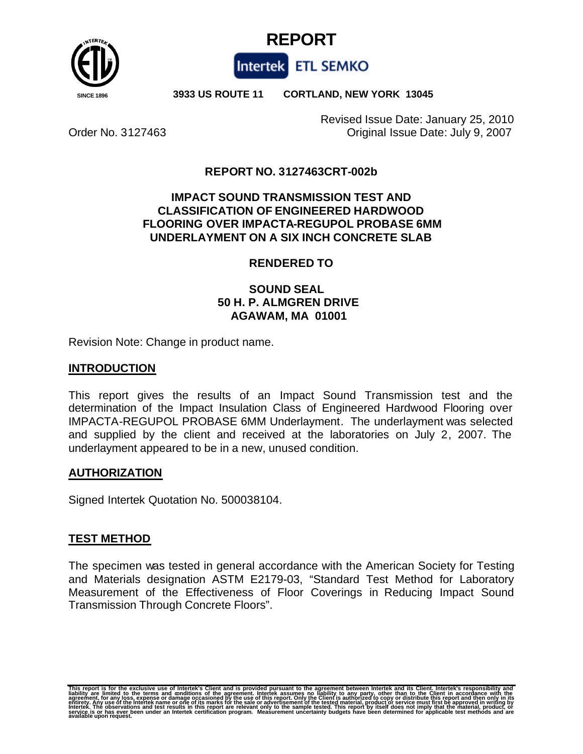



 **SINCE 1896 3933 US ROUTE 11 CORTLAND, NEW YORK 13045**

Revised Issue Date: January 25, 2010 Order No. 3127463 Original Issue Date: July 9, 2007

### **REPORT NO. 3127463CRT-002b**

### **IMPACT SOUND TRANSMISSION TEST AND CLASSIFICATION OF ENGINEERED HARDWOOD FLOORING OVER IMPACTA-REGUPOL PROBASE 6MM UNDERLAYMENT ON A SIX INCH CONCRETE SLAB**

### **RENDERED TO**

# **SOUND SEAL 50 H. P. ALMGREN DRIVE AGAWAM, MA 01001**

Revision Note: Change in product name.

### **INTRODUCTION**

This report gives the results of an Impact Sound Transmission test and the determination of the Impact Insulation Class of Engineered Hardwood Flooring over IMPACTA-REGUPOL PROBASE 6MM Underlayment. The underlayment was selected and supplied by the client and received at the laboratories on July 2, 2007. The underlayment appeared to be in a new, unused condition.

### **AUTHORIZATION**

Signed Intertek Quotation No. 500038104.

### **TEST METHOD**

The specimen was tested in general accordance with the American Society for Testing and Materials designation ASTM E2179-03, "Standard Test Method for Laboratory Measurement of the Effectiveness of Floor Coverings in Reducing Impact Sound Transmission Through Concrete Floors".

This report is for the exclusive use of Intertek's Client and is provided pursuant to the agreement between Intertek and its Client. Intertek's responsibility and<br>liability are limited to the terms and conditions of the ag eñtirety. Any use of the Intertek name or oñe of its marks for the sale or advertisement of the tested material, product or service must first be approved in writing by<br>Intertek. The observations and test results in this r **Any use of the Intertek name or udinage**<br>The observations and test results in<br>on has ever been under an Intertek<br>upon request.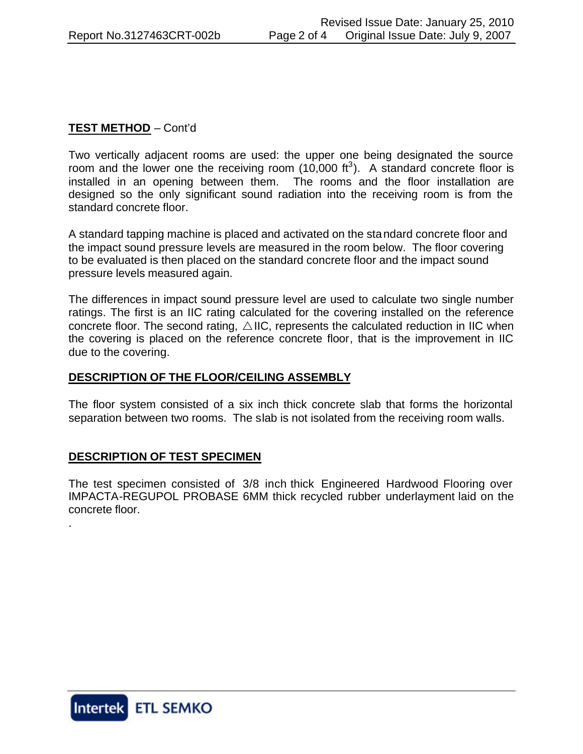# **TEST METHOD** – Cont'd

Two vertically adjacent rooms are used: the upper one being designated the source room and the lower one the receiving room  $(10,000 \text{ ft}^3)$ . A standard concrete floor is installed in an opening between them. The rooms and the floor installation are designed so the only significant sound radiation into the receiving room is from the standard concrete floor.

A standard tapping machine is placed and activated on the standard concrete floor and the impact sound pressure levels are measured in the room below. The floor covering to be evaluated is then placed on the standard concrete floor and the impact sound pressure levels measured again.

The differences in impact sound pressure level are used to calculate two single number ratings. The first is an IIC rating calculated for the covering installed on the reference concrete floor. The second rating,  $\triangle$  IIC, represents the calculated reduction in IIC when the covering is placed on the reference concrete floor, that is the improvement in IIC due to the covering.

### **DESCRIPTION OF THE FLOOR/CEILING ASSEMBLY**

The floor system consisted of a six inch thick concrete slab that forms the horizontal separation between two rooms. The slab is not isolated from the receiving room walls.

### **DESCRIPTION OF TEST SPECIMEN**

The test specimen consisted of 3/8 inch thick Engineered Hardwood Flooring over IMPACTA-REGUPOL PROBASE 6MM thick recycled rubber underlayment laid on the concrete floor.



.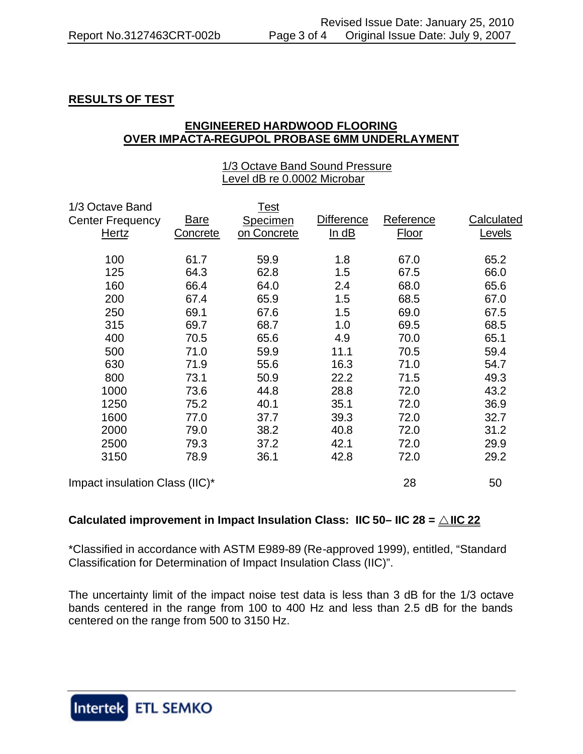# **RESULTS OF TEST**

### **ENGINEERED HARDWOOD FLOORING OVER IMPACTA-REGUPOL PROBASE 6MM UNDERLAYMENT**

#### 1/3 Octave Band Sound Pressure Level dB re 0.0002 Microbar

| 1/3 Octave Band                |             | Test        |                   |           |            |
|--------------------------------|-------------|-------------|-------------------|-----------|------------|
| <b>Center Frequency</b>        | <b>Bare</b> | Specimen    | <b>Difference</b> | Reference | Calculated |
| Hertz                          | Concrete    | on Concrete | ln dB             | Floor     | Levels     |
| 100                            | 61.7        | 59.9        | 1.8               | 67.0      | 65.2       |
| 125                            | 64.3        | 62.8        | 1.5               | 67.5      | 66.0       |
| 160                            | 66.4        | 64.0        | 2.4               | 68.0      | 65.6       |
| 200                            | 67.4        | 65.9        | 1.5               | 68.5      | 67.0       |
| 250                            | 69.1        | 67.6        | 1.5               | 69.0      | 67.5       |
| 315                            | 69.7        | 68.7        | 1.0               | 69.5      | 68.5       |
| 400                            | 70.5        | 65.6        | 4.9               | 70.0      | 65.1       |
| 500                            | 71.0        | 59.9        | 11.1              | 70.5      | 59.4       |
| 630                            | 71.9        | 55.6        | 16.3              | 71.0      | 54.7       |
| 800                            | 73.1        | 50.9        | 22.2              | 71.5      | 49.3       |
| 1000                           | 73.6        | 44.8        | 28.8              | 72.0      | 43.2       |
| 1250                           | 75.2        | 40.1        | 35.1              | 72.0      | 36.9       |
| 1600                           | 77.0        | 37.7        | 39.3              | 72.0      | 32.7       |
| 2000                           | 79.0        | 38.2        | 40.8              | 72.0      | 31.2       |
| 2500                           | 79.3        | 37.2        | 42.1              | 72.0      | 29.9       |
| 3150                           | 78.9        | 36.1        | 42.8              | 72.0      | 29.2       |
| Impact insulation Class (IIC)* |             |             |                   | 28        | 50         |

### **Calculated improvement in Impact Insulation Class: IIC 50– IIC 28 =**  $\triangle$  **IIC 22**

\*Classified in accordance with ASTM E989-89 (Re-approved 1999), entitled, "Standard Classification for Determination of Impact Insulation Class (IIC)".

The uncertainty limit of the impact noise test data is less than 3 dB for the 1/3 octave bands centered in the range from 100 to 400 Hz and less than 2.5 dB for the bands centered on the range from 500 to 3150 Hz.